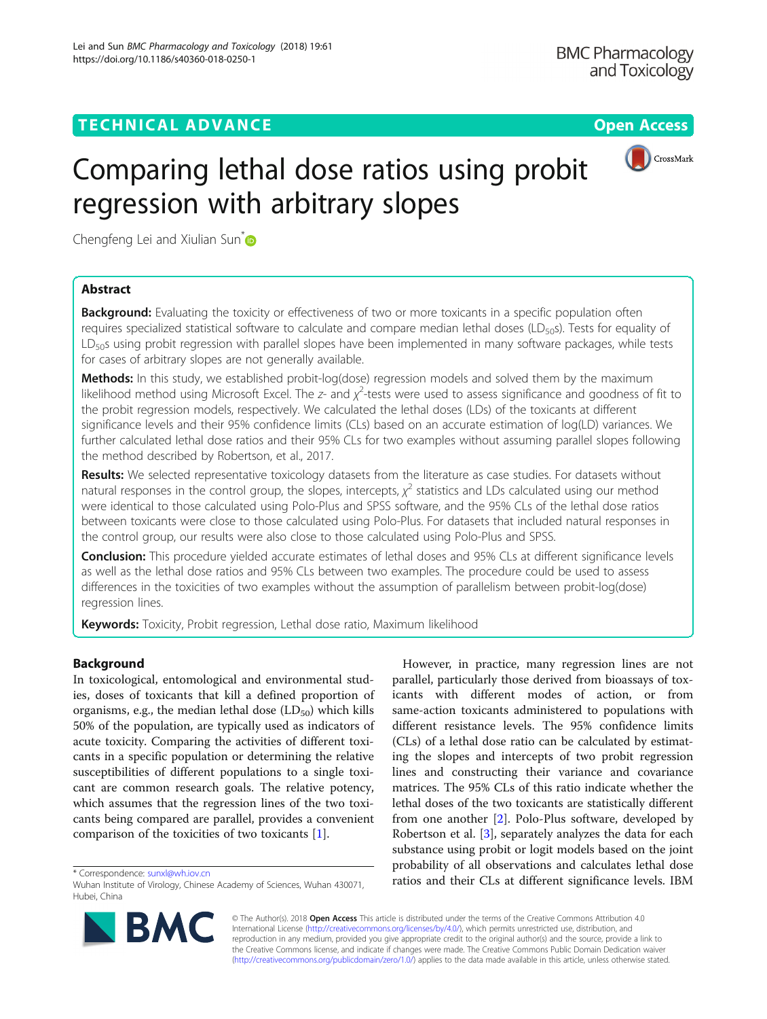# TECHNICAL ADVANCE A CONTROLLER CONTROLLER CONTROLLER CONTROLLER CONTROLLER CONTROLLER CONTROLLER CONTROLLER CO



# Comparing lethal dose ratios using probit regression with arbitrary slopes

Chengfeng Lei and Xiulian Sun<sup>[\\*](http://orcid.org/0000-0003-2080-4113)</sup>

# Abstract

**Background:** Evaluating the toxicity or effectiveness of two or more toxicants in a specific population often requires specialized statistical software to calculate and compare median lethal doses (LD<sub>50</sub>s). Tests for equality of LD<sub>50</sub>s using probit regression with parallel slopes have been implemented in many software packages, while tests for cases of arbitrary slopes are not generally available.

Methods: In this study, we established probit-log(dose) regression models and solved them by the maximum likelihood method using Microsoft Excel. The z- and  $\chi^2$ -tests were used to assess significance and goodness of fit to the probit regression models, respectively. We calculated the lethal doses (LDs) of the toxicants at different significance levels and their 95% confidence limits (CLs) based on an accurate estimation of log(LD) variances. We further calculated lethal dose ratios and their 95% CLs for two examples without assuming parallel slopes following the method described by Robertson, et al., 2017.

Results: We selected representative toxicology datasets from the literature as case studies. For datasets without natural responses in the control group, the slopes, intercepts,  $\chi^2$  statistics and LDs calculated using our method were identical to those calculated using Polo-Plus and SPSS software, and the 95% CLs of the lethal dose ratios between toxicants were close to those calculated using Polo-Plus. For datasets that included natural responses in the control group, our results were also close to those calculated using Polo-Plus and SPSS.

Conclusion: This procedure yielded accurate estimates of lethal doses and 95% CLs at different significance levels as well as the lethal dose ratios and 95% CLs between two examples. The procedure could be used to assess differences in the toxicities of two examples without the assumption of parallelism between probit-log(dose) regression lines.

Keywords: Toxicity, Probit regression, Lethal dose ratio, Maximum likelihood

# Background

In toxicological, entomological and environmental studies, doses of toxicants that kill a defined proportion of organisms, e.g., the median lethal dose  $(LD_{50})$  which kills 50% of the population, are typically used as indicators of acute toxicity. Comparing the activities of different toxicants in a specific population or determining the relative susceptibilities of different populations to a single toxicant are common research goals. The relative potency, which assumes that the regression lines of the two toxicants being compared are parallel, provides a convenient comparison of the toxicities of two toxicants [[1\]](#page-9-0).

However, in practice, many regression lines are not parallel, particularly those derived from bioassays of toxicants with different modes of action, or from same-action toxicants administered to populations with different resistance levels. The 95% confidence limits (CLs) of a lethal dose ratio can be calculated by estimating the slopes and intercepts of two probit regression lines and constructing their variance and covariance matrices. The 95% CLs of this ratio indicate whether the lethal doses of the two toxicants are statistically different from one another [\[2](#page-9-0)]. Polo-Plus software, developed by Robertson et al. [[3\]](#page-9-0), separately analyzes the data for each substance using probit or logit models based on the joint probability of all observations and calculates lethal dose \* Correspondence: [sunxl@wh.iov.cn](mailto:sunxl@wh.iov.cn)<br>Wuhan Institute of Virology Chinese Academy of Sciences Wuhan 430071 **tractions and their CLs at different significance levels. IBM** 



© The Author(s). 2018 Open Access This article is distributed under the terms of the Creative Commons Attribution 4.0 International License [\(http://creativecommons.org/licenses/by/4.0/](http://creativecommons.org/licenses/by/4.0/)), which permits unrestricted use, distribution, and reproduction in any medium, provided you give appropriate credit to the original author(s) and the source, provide a link to the Creative Commons license, and indicate if changes were made. The Creative Commons Public Domain Dedication waiver [\(http://creativecommons.org/publicdomain/zero/1.0/](http://creativecommons.org/publicdomain/zero/1.0/)) applies to the data made available in this article, unless otherwise stated.

Wuhan Institute of Virology, Chinese Academy of Sciences, Wuhan 430071, Hubei, China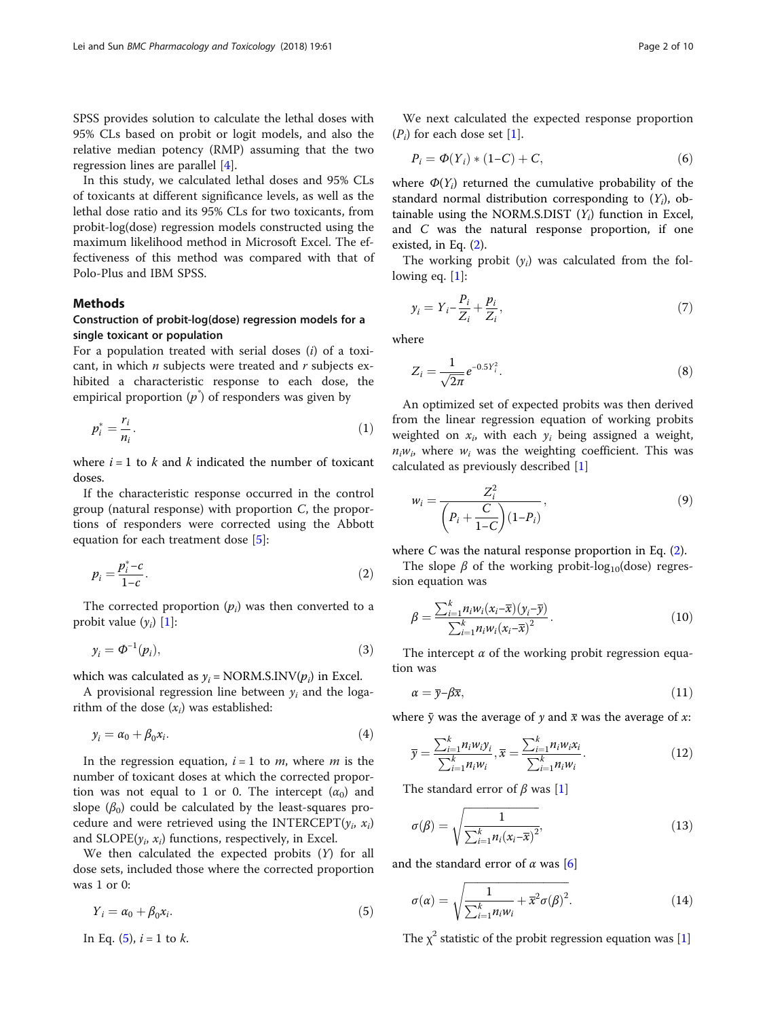<span id="page-1-0"></span>SPSS provides solution to calculate the lethal doses with 95% CLs based on probit or logit models, and also the relative median potency (RMP) assuming that the two regression lines are parallel [\[4\]](#page-9-0).

In this study, we calculated lethal doses and 95% CLs of toxicants at different significance levels, as well as the lethal dose ratio and its 95% CLs for two toxicants, from probit-log(dose) regression models constructed using the maximum likelihood method in Microsoft Excel. The effectiveness of this method was compared with that of Polo-Plus and IBM SPSS.

## Methods

# Construction of probit-log(dose) regression models for a single toxicant or population

For a population treated with serial doses  $(i)$  of a toxicant, in which  $n$  subjects were treated and  $r$  subjects exhibited a characteristic response to each dose, the empirical proportion  $(p\,\r)$  of responders was given by

$$
p_i^* = \frac{r_i}{n_i}.\tag{1}
$$

where  $i = 1$  to k and k indicated the number of toxicant doses.

If the characteristic response occurred in the control group (natural response) with proportion  $C$ , the proportions of responders were corrected using the Abbott equation for each treatment dose [[5\]](#page-9-0):

$$
p_i = \frac{p_i^* - c}{1 - c}.\tag{2}
$$

The corrected proportion  $(p_i)$  was then converted to a probit value  $(y_i)$  [[1](#page-9-0)]:

$$
y_i = \Phi^{-1}(p_i),\tag{3}
$$

which was calculated as  $y_i$  = NORM.S.INV( $p_i$ ) in Excel.

A provisional regression line between  $y_i$  and the logarithm of the dose  $(x_i)$  was established:

$$
y_i = \alpha_0 + \beta_0 x_i. \tag{4}
$$

In the regression equation,  $i = 1$  to *m*, where *m* is the number of toxicant doses at which the corrected proportion was not equal to 1 or 0. The intercept  $(\alpha_0)$  and slope  $(\beta_0)$  could be calculated by the least-squares procedure and were retrieved using the INTERCEPT( $y_i$ ,  $x_i$ ) and  $SLOPE(y_i, x_i)$  functions, respectively, in Excel.

We then calculated the expected probits (Y) for all dose sets, included those where the corrected proportion was 1 or 0:

$$
Y_i = \alpha_0 + \beta_0 x_i. \tag{5}
$$

In Eq.  $(5)$ ,  $i = 1$  to k.

We next calculated the expected response proportion  $(P_i)$  for each dose set [[1\]](#page-9-0).

$$
P_i = \Phi(Y_i) * (1 - C) + C,\tag{6}
$$

where  $\Phi(Y_i)$  returned the cumulative probability of the standard normal distribution corresponding to  $(Y_i)$ , obtainable using the NORM.S.DIST  $(Y_i)$  function in Excel, and C was the natural response proportion, if one existed, in Eq. (2).

The working probit  $(y_i)$  was calculated from the following eq. [1]:

$$
y_i = Y_i - \frac{P_i}{Z_i} + \frac{p_i}{Z_i},\tag{7}
$$

where

$$
Z_i = \frac{1}{\sqrt{2\pi}} e^{-0.5Y_i^2}.
$$
 (8)

An optimized set of expected probits was then derived from the linear regression equation of working probits weighted on  $x_i$ , with each  $y_i$  being assigned a weight,  $n_iw_i$ , where  $w_i$  was the weighting coefficient. This was calculated as previously described [\[1](#page-9-0)]

$$
w_i = \frac{Z_i^2}{\left(P_i + \frac{C}{1 - C}\right)(1 - P_i)},
$$
\n(9)

where C was the natural response proportion in Eq.  $(2)$ .

The slope  $\beta$  of the working probit-log<sub>10</sub>(dose) regression equation was

$$
\beta = \frac{\sum_{i=1}^{k} n_i w_i (x_i - \overline{x})(y_i - \overline{y})}{\sum_{i=1}^{k} n_i w_i (x_i - \overline{x})^2}.
$$
\n(10)

The intercept  $\alpha$  of the working probit regression equation was

$$
\alpha = \overline{y} - \beta \overline{x},\tag{11}
$$

where  $\bar{y}$  was the average of y and  $\bar{x}$  was the average of x:

$$
\overline{y} = \frac{\sum_{i=1}^{k} n_i w_i y_i}{\sum_{i=1}^{k} n_i w_i}, \overline{x} = \frac{\sum_{i=1}^{k} n_i w_i x_i}{\sum_{i=1}^{k} n_i w_i}.
$$
(12)

The standard error of  $\beta$  was [[1\]](#page-9-0)

$$
\sigma(\beta) = \sqrt{\frac{1}{\sum_{i=1}^{k} n_i (x_i - \overline{x})^2}},\tag{13}
$$

and the standard error of  $\alpha$  was [[6\]](#page-9-0)

$$
\sigma(\alpha) = \sqrt{\frac{1}{\sum_{i=1}^{k} n_i w_i} + \overline{x}^2 \sigma(\beta)^2}.
$$
 (14)

The  $\chi^2$  statistic of the probit regression equation was [[1\]](#page-9-0)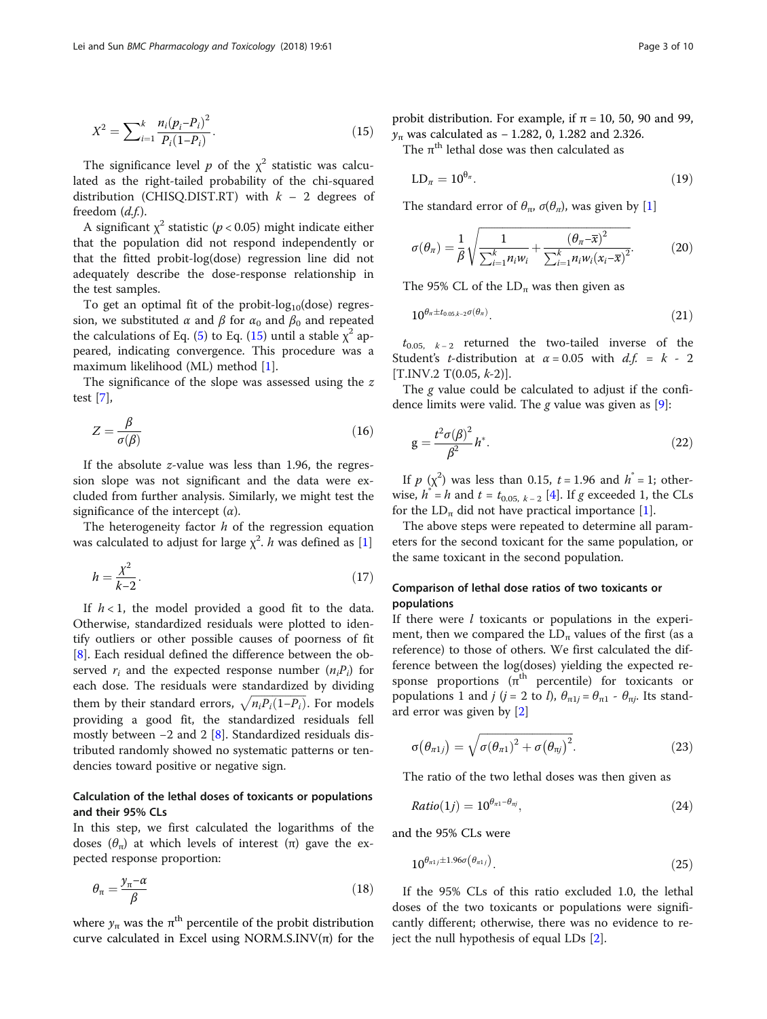<span id="page-2-0"></span>
$$
X^{2} = \sum_{i=1}^{k} \frac{n_{i}(p_{i} - P_{i})^{2}}{P_{i}(1 - P_{i})}.
$$
\n(15)

The significance level  $p$  of the  $\chi^2$  statistic was calculated as the right-tailed probability of the chi-squared distribution (CHISQ.DIST.RT) with  $k - 2$  degrees of freedom  $(d.f.)$ .

A significant  $\chi^2$  statistic ( $p < 0.05$ ) might indicate either that the population did not respond independently or that the fitted probit-log(dose) regression line did not adequately describe the dose-response relationship in the test samples.

To get an optimal fit of the probit- $log_{10}(dose)$  regression, we substituted  $\alpha$  and  $\beta$  for  $\alpha_0$  and  $\beta_0$  and repeated the calculations of Eq. [\(5](#page-1-0)) to Eq. (15) until a stable  $\chi^2$  appeared, indicating convergence. This procedure was a maximum likelihood (ML) method [\[1\]](#page-9-0).

The significance of the slope was assessed using the z test [\[7](#page-9-0)],

$$
Z = \frac{\beta}{\sigma(\beta)}\tag{16}
$$

If the absolute z-value was less than 1.96, the regression slope was not significant and the data were excluded from further analysis. Similarly, we might test the significance of the intercept  $(\alpha)$ .

The heterogeneity factor  $h$  of the regression equation was calculated to adjust for large  $\chi^2$ . h was defined as [\[1](#page-9-0)]

$$
h = \frac{\chi^2}{k - 2}.\tag{17}
$$

If  $h < 1$ , the model provided a good fit to the data. Otherwise, standardized residuals were plotted to identify outliers or other possible causes of poorness of fit [[8\]](#page-9-0). Each residual defined the difference between the observed  $r_i$  and the expected response number  $(n_iP_i)$  for each dose. The residuals were standardized by dividing them by their standard errors,  $\sqrt{n_iP_i(1-P_i)}$ . For models providing a good fit, the standardized residuals fell mostly between −2 and 2 [[8\]](#page-9-0). Standardized residuals distributed randomly showed no systematic patterns or tendencies toward positive or negative sign.

# Calculation of the lethal doses of toxicants or populations and their 95% CLs

In this step, we first calculated the logarithms of the doses  $(\theta_{\pi})$  at which levels of interest  $(\pi)$  gave the expected response proportion:

$$
\theta_{\pi} = \frac{y_{\pi} - a}{\beta} \tag{18}
$$

where  $y_{\pi}$  was the  $\pi^{\text{th}}$  percentile of the probit distribution curve calculated in Excel using NORM.S.INV $(\pi)$  for the probit distribution. For example, if  $\pi = 10$ , 50, 90 and 99,  $y_{\pi}$  was calculated as – 1.282, 0, 1.282 and 2.326.

The  $\pi^{\text{th}}$  lethal dose was then calculated as

$$
LD_{\pi} = 10^{\theta_{\pi}}.\tag{19}
$$

The standard error of  $\theta_{\pi}$ ,  $\sigma(\theta_{\pi})$ , was given by [\[1](#page-9-0)]

$$
\sigma(\theta_{\pi}) = \frac{1}{\beta} \sqrt{\frac{1}{\sum_{i=1}^{k} n_i w_i} + \frac{(\theta_{\pi} - \overline{x})^2}{\sum_{i=1}^{k} n_i w_i (x_i - \overline{x})^2}}.
$$
(20)

The 95% CL of the  $LD_{\pi}$  was then given as

$$
10^{\theta_{\pi} \pm t_{0.05, k-2}\sigma(\theta_{\pi})}.
$$
 (21)

 $t_{0.05, k-2}$  returned the two-tailed inverse of the Student's *t*-distribution at  $\alpha = 0.05$  with  $d.f. = k - 2$  $[T.INV.2 T(0.05, k-2)].$ 

The g value could be calculated to adjust if the confidence limits were valid. The g value was given as  $[9]$  $[9]$ :

$$
g = \frac{t^2 \sigma(\beta)^2}{\beta^2} h^*.
$$
\n(22)

If  $p(x^2)$  was less than 0.15,  $t = 1.96$  and  $h^* = 1$ ; otherwise,  $h^* = h$  and  $t = t_{0.05, k-2}$  [[4\]](#page-9-0). If g exceeded 1, the CLs for the  $LD_{\pi}$  did not have practical importance [\[1](#page-9-0)].

The above steps were repeated to determine all parameters for the second toxicant for the same population, or the same toxicant in the second population.

# Comparison of lethal dose ratios of two toxicants or populations

If there were  $l$  toxicants or populations in the experiment, then we compared the  $LD_{\pi}$  values of the first (as a reference) to those of others. We first calculated the difference between the log(doses) yielding the expected response proportions  $(\pi^{\text{th}})$  percentile) for toxicants or populations 1 and j (j = 2 to l),  $\theta_{\pi} = \theta_{\pi} - \theta_{\pi}$ . Its standard error was given by [[2\]](#page-9-0)

$$
\sigma(\theta_{\pi 1j}) = \sqrt{\sigma(\theta_{\pi 1})^2 + \sigma(\theta_{\pi j})^2}.
$$
 (23)

The ratio of the two lethal doses was then given as

$$
Ratio(1j) = 10^{\theta_{n1} - \theta_{nj}}, \qquad (24)
$$

and the 95% CLs were

$$
10^{\theta_{\pi 1 j} \pm 1.96\sigma\left(\theta_{\pi 1 j}\right)}.
$$
\n<sup>(25)</sup>

If the 95% CLs of this ratio excluded 1.0, the lethal doses of the two toxicants or populations were significantly different; otherwise, there was no evidence to reject the null hypothesis of equal LDs [\[2](#page-9-0)].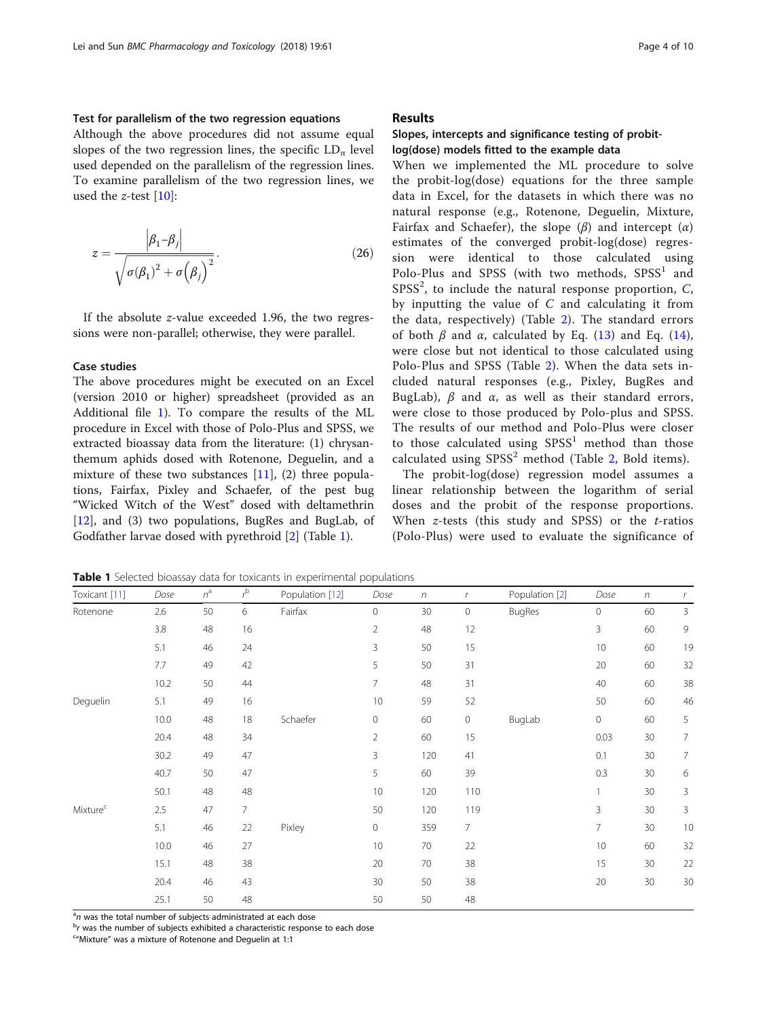## Test for parallelism of the two regression equations

Although the above procedures did not assume equal slopes of the two regression lines, the specific  $LD_{\pi}$  level used depended on the parallelism of the regression lines. To examine parallelism of the two regression lines, we used the  $z$ -test  $[10]$  $[10]$ :

$$
z = \frac{\left|\beta_1 - \beta_j\right|}{\sqrt{\sigma(\beta_1)^2 + \sigma(\beta_j)^2}}.
$$
\n(26)

If the absolute z-value exceeded 1.96, the two regressions were non-parallel; otherwise, they were parallel.

## Case studies

The above procedures might be executed on an Excel (version 2010 or higher) spreadsheet (provided as an Additional file [1](#page-9-0)). To compare the results of the ML procedure in Excel with those of Polo-Plus and SPSS, we extracted bioassay data from the literature: (1) chrysanthemum aphids dosed with Rotenone, Deguelin, and a mixture of these two substances  $[11]$  $[11]$ ,  $(2)$  three populations, Fairfax, Pixley and Schaefer, of the pest bug "Wicked Witch of the West" dosed with deltamethrin [[12\]](#page-9-0), and (3) two populations, BugRes and BugLab, of Godfather larvae dosed with pyrethroid [[2](#page-9-0)] (Table 1).

## Results

# Slopes, intercepts and significance testing of probitlog(dose) models fitted to the example data

When we implemented the ML procedure to solve the probit-log(dose) equations for the three sample data in Excel, for the datasets in which there was no natural response (e.g., Rotenone, Deguelin, Mixture, Fairfax and Schaefer), the slope  $(\beta)$  and intercept  $(\alpha)$ estimates of the converged probit-log(dose) regression were identical to those calculated using Polo-Plus and SPSS (with two methods,  $SPSS<sup>1</sup>$  and  $SPSS<sup>2</sup>$ , to include the natural response proportion,  $C$ , by inputting the value of  $C$  and calculating it from the data, respectively) (Table [2\)](#page-4-0). The standard errors of both  $\beta$  and  $\alpha$ , calculated by Eq. [\(13\)](#page-1-0) and Eq. ([14](#page-1-0)), were close but not identical to those calculated using Polo-Plus and SPSS (Table [2\)](#page-4-0). When the data sets included natural responses (e.g., Pixley, BugRes and BugLab),  $β$  and  $α$ , as well as their standard errors, were close to those produced by Polo-plus and SPSS. The results of our method and Polo-Plus were closer to those calculated using  $SPSS<sup>1</sup>$  method than those calculated using  $SPSS<sup>2</sup>$  method (Table [2,](#page-4-0) Bold items).

The probit-log(dose) regression model assumes a linear relationship between the logarithm of serial doses and the probit of the response proportions. When  $z$ -tests (this study and SPSS) or the  $t$ -ratios (Polo-Plus) were used to evaluate the significance of

Toxicant [[11](#page-9-0)] Dose  $n^a$   $r^b$ Population [\[12\]](#page-9-0) Dose n r Population [\[2](#page-9-0)] Dose n r Rotenone 2.6 50 6 Fairfax 0 30 0 BugRes 0 60 3 3.8 48 16 2 48 12 3 60 9 5.1 46 24 3 50 15 10 60 19 7.7 49 42 5 50 31 20 60 32 10.2 50 44 7 48 31 40 60 38 Deguelin 5.1 49 16 10 59 52 50 60 46 10.0 48 18 Schaefer 0 60 0 BugLab 0 60 5 20.4 48 34 2 60 15 0.03 30 7 30.2 49 47 3 120 41 0.1 30 7 40.7 50 47 50 5 60 39 5 0.3 30 6 50.1 48 48 10 120 110 1 30 3 Mixture<sup>c</sup> 2.5 47 7 50 120 119 3 30 3 5.1 46 22 Pixley 0 359 7 7 30 10 10.0 46 27 10 70 22 10 60 32 15.1 48 38 20 70 38 15 30 22 20.4 46 43 30 50 38 20 30 30 25.1 50 48 50 50 48

Table 1 Selected bioassay data for toxicants in experimental populations

 $a_n$  was the total number of subjects administrated at each dose being the number of subjects ophibited a characteristic response

 $<sup>b</sup>r$  was the number of subjects exhibited a characteristic response to each dose</sup>

"Mixture" was a mixture of Rotenone and Deguelin at 1:1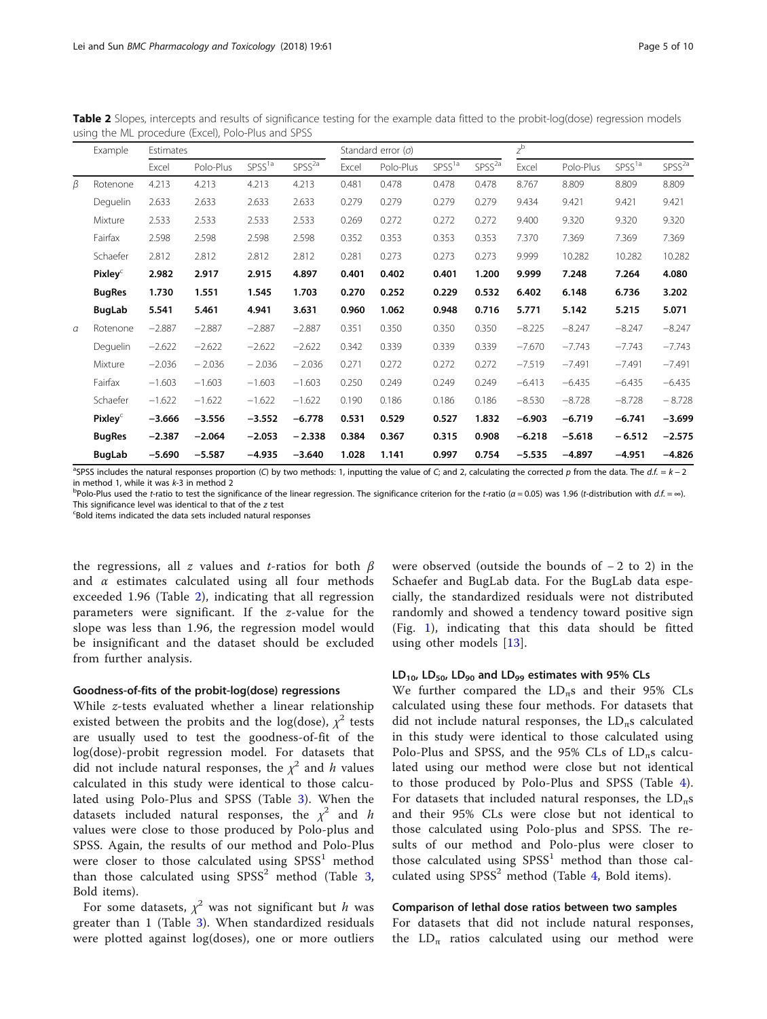|          | Example             | Estimates |           |                    |             |       | Standard error $(\sigma)$ |                    |                    | $z^{\rm b}$ |           |                    |                    |
|----------|---------------------|-----------|-----------|--------------------|-------------|-------|---------------------------|--------------------|--------------------|-------------|-----------|--------------------|--------------------|
|          |                     | Excel     | Polo-Plus | SPSS <sup>1a</sup> | $SPSS^{2a}$ | Excel | Polo-Plus                 | SPSS <sup>1a</sup> | SPSS <sup>2a</sup> | Excel       | Polo-Plus | SPSS <sup>1a</sup> | SPSS <sup>2a</sup> |
| β        | Rotenone            | 4.213     | 4.213     | 4.213              | 4.213       | 0.481 | 0.478                     | 0.478              | 0.478              | 8.767       | 8.809     | 8.809              | 8.809              |
|          | Deguelin            | 2.633     | 2.633     | 2.633              | 2.633       | 0.279 | 0.279                     | 0.279              | 0.279              | 9.434       | 9.421     | 9.421              | 9.421              |
|          | Mixture             | 2.533     | 2.533     | 2.533              | 2.533       | 0.269 | 0.272                     | 0.272              | 0.272              | 9.400       | 9.320     | 9.320              | 9.320              |
|          | Fairfax             | 2.598     | 2.598     | 2.598              | 2.598       | 0.352 | 0.353                     | 0.353              | 0.353              | 7.370       | 7.369     | 7.369              | 7.369              |
|          | Schaefer            | 2.812     | 2.812     | 2.812              | 2.812       | 0.281 | 0.273                     | 0.273              | 0.273              | 9.999       | 10.282    | 10.282             | 10.282             |
|          | Pixley <sup>C</sup> | 2.982     | 2.917     | 2.915              | 4.897       | 0.401 | 0.402                     | 0.401              | 1.200              | 9.999       | 7.248     | 7.264              | 4.080              |
|          | <b>BugRes</b>       | 1.730     | 1.551     | 1.545              | 1.703       | 0.270 | 0.252                     | 0.229              | 0.532              | 6.402       | 6.148     | 6.736              | 3.202              |
|          | BugLab              | 5.541     | 5.461     | 4.941              | 3.631       | 0.960 | 1.062                     | 0.948              | 0.716              | 5.771       | 5.142     | 5.215              | 5.071              |
| $\alpha$ | Rotenone            | $-2.887$  | $-2.887$  | $-2.887$           | $-2.887$    | 0.351 | 0.350                     | 0.350              | 0.350              | $-8.225$    | $-8.247$  | $-8.247$           | $-8.247$           |
|          | Deguelin            | $-2.622$  | $-2.622$  | $-2.622$           | $-2.622$    | 0.342 | 0.339                     | 0.339              | 0.339              | $-7.670$    | $-7.743$  | $-7.743$           | $-7.743$           |
|          | Mixture             | $-2.036$  | $-2.036$  | $-2.036$           | $-2.036$    | 0.271 | 0.272                     | 0.272              | 0.272              | $-7.519$    | $-7.491$  | $-7.491$           | $-7.491$           |
|          | Fairfax             | $-1.603$  | $-1.603$  | $-1.603$           | $-1.603$    | 0.250 | 0.249                     | 0.249              | 0.249              | $-6.413$    | $-6.435$  | $-6.435$           | $-6.435$           |
|          | Schaefer            | $-1.622$  | $-1.622$  | $-1.622$           | $-1.622$    | 0.190 | 0.186                     | 0.186              | 0.186              | $-8.530$    | $-8.728$  | $-8.728$           | $-8.728$           |
|          | Pixley <sup>c</sup> | $-3.666$  | $-3.556$  | $-3.552$           | $-6.778$    | 0.531 | 0.529                     | 0.527              | 1.832              | $-6.903$    | $-6.719$  | $-6.741$           | $-3.699$           |
|          | <b>BugRes</b>       | $-2.387$  | $-2.064$  | $-2.053$           | $-2.338$    | 0.384 | 0.367                     | 0.315              | 0.908              | $-6.218$    | $-5.618$  | $-6.512$           | $-2.575$           |
|          | <b>BugLab</b>       | $-5.690$  | $-5.587$  | $-4.935$           | $-3.640$    | 1.028 | 1.141                     | 0.997              | 0.754              | $-5.535$    | $-4.897$  | $-4.951$           | $-4.826$           |

<span id="page-4-0"></span>Table 2 Slopes, intercepts and results of significance testing for the example data fitted to the probit-log(dose) regression models using the ML procedure (Excel), Polo-Plus and SPSS

<sup>a</sup>SPSS includes the natural responses proportion (C) by two methods: 1, inputting the value of C; and 2, calculating the corrected p from the data. The d.f. =  $k - 2$ in method 1, while it was k-3 in method 2<br><sup>b</sup>Polo-Plus used the *t-*ratio to test the significance of the linear regression. The significance criterion for the *t-*ratio (α = 0.05) was 1.96 (*t-*distribution with *d.f.* =

This significance level was identical to that of the z test

Bold items indicated the data sets included natural responses

the regressions, all z values and t-ratios for both  $\beta$ and  $\alpha$  estimates calculated using all four methods exceeded 1.96 (Table 2), indicating that all regression parameters were significant. If the z-value for the slope was less than 1.96, the regression model would be insignificant and the dataset should be excluded from further analysis.

#### Goodness-of-fits of the probit-log(dose) regressions

While z-tests evaluated whether a linear relationship existed between the probits and the log(dose),  $\chi^2$  tests are usually used to test the goodness-of-fit of the log(dose)-probit regression model. For datasets that did not include natural responses, the  $\chi^2$  and h values calculated in this study were identical to those calculated using Polo-Plus and SPSS (Table [3](#page-5-0)). When the datasets included natural responses, the  $\chi^2$  and h values were close to those produced by Polo-plus and SPSS. Again, the results of our method and Polo-Plus were closer to those calculated using  $SPSS<sup>1</sup>$  method than those calculated using  $SPSS<sup>2</sup>$  method (Table [3](#page-5-0), Bold items).

For some datasets,  $\chi^2$  was not significant but h was greater than 1 (Table [3](#page-5-0)). When standardized residuals were plotted against log(doses), one or more outliers were observed (outside the bounds of − 2 to 2) in the Schaefer and BugLab data. For the BugLab data especially, the standardized residuals were not distributed randomly and showed a tendency toward positive sign (Fig. [1\)](#page-5-0), indicating that this data should be fitted using other models [[13\]](#page-9-0).

## $LD_{10}$ ,  $LD_{50}$ ,  $LD_{90}$  and  $LD_{99}$  estimates with 95% CLs

We further compared the  $LD_{\pi}s$  and their 95% CLs calculated using these four methods. For datasets that did not include natural responses, the  $LD_{\pi}$ s calculated in this study were identical to those calculated using Polo-Plus and SPSS, and the 95% CLs of  $LD_{\pi}$ s calculated using our method were close but not identical to those produced by Polo-Plus and SPSS (Table [4](#page-6-0)). For datasets that included natural responses, the  $LD_{\pi}s$ and their 95% CLs were close but not identical to those calculated using Polo-plus and SPSS. The results of our method and Polo-plus were closer to those calculated using  $SPSS<sup>1</sup>$  method than those calculated using  $SPSS<sup>2</sup>$  method (Table [4](#page-6-0), Bold items).

#### Comparison of lethal dose ratios between two samples

For datasets that did not include natural responses, the  $LD_{\pi}$  ratios calculated using our method were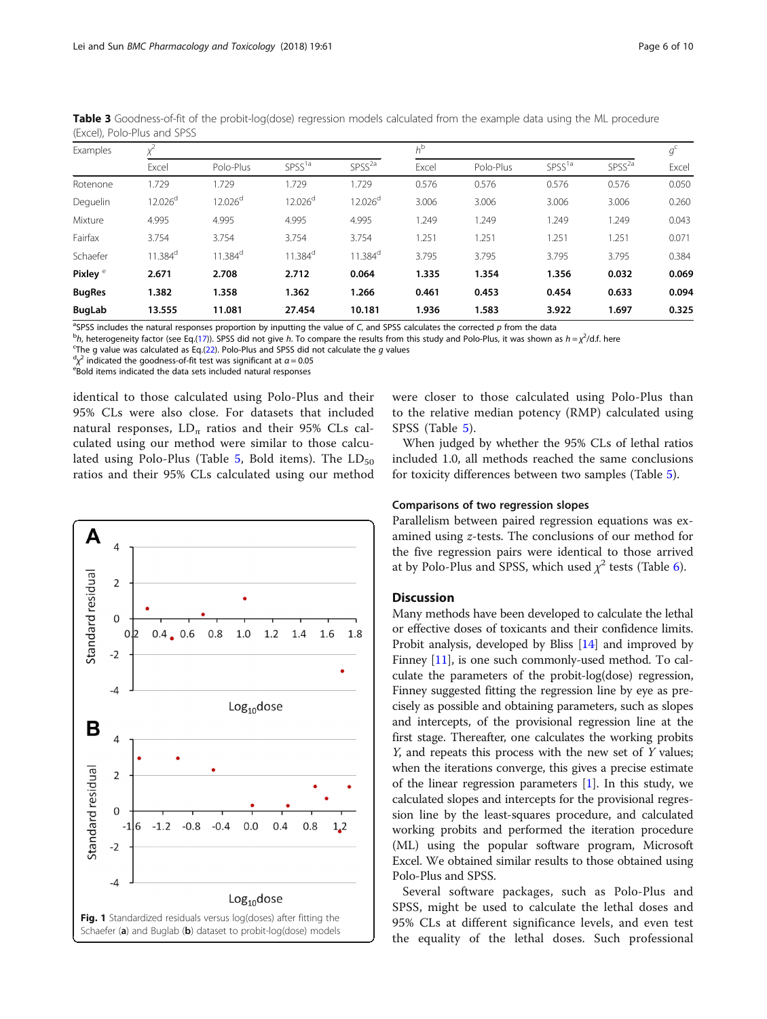| Examples            |                       |                       |                       |                       |       | $h^{\rm b}$ |                    |                    |       |
|---------------------|-----------------------|-----------------------|-----------------------|-----------------------|-------|-------------|--------------------|--------------------|-------|
|                     | Excel                 | Polo-Plus             | SPSS <sup>1a</sup>    | SPSS <sup>2a</sup>    | Excel | Polo-Plus   | SPSS <sup>1a</sup> | SPSS <sup>2a</sup> | Excel |
| Rotenone            | 1.729                 | 1.729                 | 1.729                 | 1.729                 | 0.576 | 0.576       | 0.576              | 0.576              | 0.050 |
| Deguelin            | 12.026 <sup>d</sup>   | 12.026 <sup>d</sup>   | 12.026 <sup>d</sup>   | 12.026 <sup>d</sup>   | 3.006 | 3.006       | 3.006              | 3.006              | 0.260 |
| Mixture             | 4.995                 | 4.995                 | 4.995                 | 4.995                 | 1.249 | 1.249       | 1.249              | 1.249              | 0.043 |
| Fairfax             | 3.754                 | 3.754                 | 3.754                 | 3.754                 | 1.251 | 1.251       | 1.251              | 1.251              | 0.071 |
| Schaefer            | $11.384$ <sup>d</sup> | $11.384$ <sup>d</sup> | $11.384$ <sup>d</sup> | $11.384$ <sup>d</sup> | 3.795 | 3.795       | 3.795              | 3.795              | 0.384 |
| Pixley <sup>e</sup> | 2.671                 | 2.708                 | 2.712                 | 0.064                 | 1.335 | 1.354       | 1.356              | 0.032              | 0.069 |
| <b>BugRes</b>       | 1.382                 | 1.358                 | 1.362                 | 1.266                 | 0.461 | 0.453       | 0.454              | 0.633              | 0.094 |
| BugLab              | 13.555                | 11.081                | 27.454                | 10.181                | 1.936 | 1.583       | 3.922              | 1.697              | 0.325 |

<span id="page-5-0"></span>Table 3 Goodness-of-fit of the probit-log(dose) regression models calculated from the example data using the ML procedure (Excel), Polo-Plus and SPSS

<sup>a</sup>SPSS includes the natural responses proportion by inputting the value of C, and SPSS calculates the corrected p from the data behavior of the corrected p from the data behavior of the proportion of the strategy of the

 $h$ , heterogeneity factor (see Eq.([17\)](#page-2-0)). SPSS did not give h. To compare the results from this study and Polo-Plus, it was shown as  $h = \chi^2/d$ .f. here

<sup>c</sup>The g value was calculated as Eq.([22\)](#page-2-0). Polo-Plus and SPSS did not calculate the g values

 $\sigma_{\chi}^{d}$  indicated the goodness-of-fit test was significant at  $\alpha$  = 0.05 exploiting the data sets included natural responses

eBold items indicated the data sets included natural responses

identical to those calculated using Polo-Plus and their 95% CLs were also close. For datasets that included natural responses,  $LD_{\pi}$  ratios and their 95% CLs calculated using our method were similar to those calculated using Polo-Plus (Table  $5$ , Bold items). The  $LD_{50}$ ratios and their 95% CLs calculated using our method



were closer to those calculated using Polo-Plus than to the relative median potency (RMP) calculated using SPSS (Table [5](#page-7-0)).

When judged by whether the 95% CLs of lethal ratios included 1.0, all methods reached the same conclusions for toxicity differences between two samples (Table [5\)](#page-7-0).

#### Comparisons of two regression slopes

Parallelism between paired regression equations was examined using z-tests. The conclusions of our method for the five regression pairs were identical to those arrived at by Polo-Plus and SPSS, which used  $\chi^2$  tests (Table [6\)](#page-7-0).

## **Discussion**

Many methods have been developed to calculate the lethal or effective doses of toxicants and their confidence limits. Probit analysis, developed by Bliss [\[14\]](#page-9-0) and improved by Finney [[11\]](#page-9-0), is one such commonly-used method. To calculate the parameters of the probit-log(dose) regression, Finney suggested fitting the regression line by eye as precisely as possible and obtaining parameters, such as slopes and intercepts, of the provisional regression line at the first stage. Thereafter, one calculates the working probits Y, and repeats this process with the new set of Y values; when the iterations converge, this gives a precise estimate of the linear regression parameters  $[1]$  $[1]$ . In this study, we calculated slopes and intercepts for the provisional regression line by the least-squares procedure, and calculated working probits and performed the iteration procedure (ML) using the popular software program, Microsoft Excel. We obtained similar results to those obtained using Polo-Plus and SPSS.

Several software packages, such as Polo-Plus and SPSS, might be used to calculate the lethal doses and 95% CLs at different significance levels, and even test the equality of the lethal doses. Such professional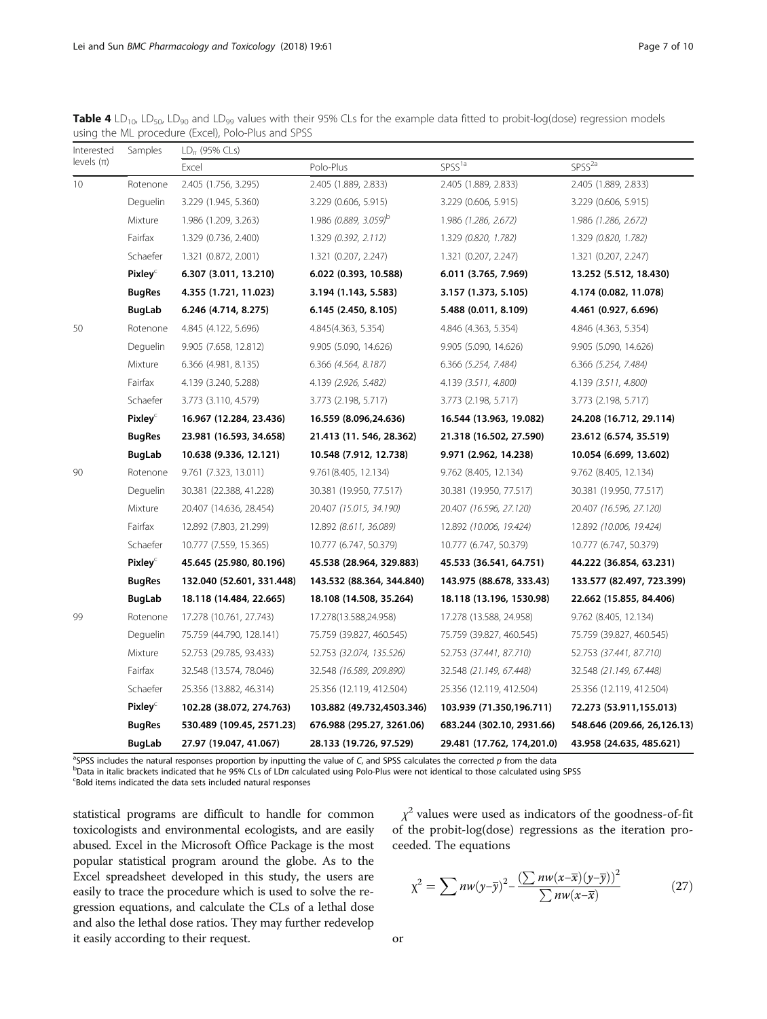<span id="page-6-0"></span>**Table 4** LD<sub>10</sub>, LD<sub>50</sub>, LD<sub>90</sub> and LD<sub>99</sub> values with their 95% CLs for the example data fitted to probit-log(dose) regression models using the ML procedure (Excel), Polo-Plus and SPSS

| Interested     | Samples             | $LD_{\pi}$ (95% CLs)      |                                   |                            |                              |  |  |  |  |
|----------------|---------------------|---------------------------|-----------------------------------|----------------------------|------------------------------|--|--|--|--|
| levels $(\pi)$ |                     | Excel                     | Polo-Plus                         | SPSS <sup>1a</sup>         | SPSS <sup>2a</sup>           |  |  |  |  |
| 10             | Rotenone            | 2.405 (1.756, 3.295)      | 2.405 (1.889, 2.833)              | 2.405 (1.889, 2.833)       | 2.405 (1.889, 2.833)         |  |  |  |  |
|                | Deguelin            | 3.229 (1.945, 5.360)      | 3.229 (0.606, 5.915)              | 3.229 (0.606, 5.915)       | 3.229 (0.606, 5.915)         |  |  |  |  |
|                | Mixture             | 1.986 (1.209, 3.263)      | 1.986 (0.889, 3.059) <sup>b</sup> | 1.986 (1.286, 2.672)       | 1.986 (1.286, 2.672)         |  |  |  |  |
|                | Fairfax             | 1.329 (0.736, 2.400)      | 1.329(0.392, 2.112)               | 1.329 (0.820, 1.782)       | 1.329 (0.820, 1.782)         |  |  |  |  |
|                | Schaefer            | 1.321 (0.872, 2.001)      | 1.321 (0.207, 2.247)              | 1.321 (0.207, 2.247)       | 1.321 (0.207, 2.247)         |  |  |  |  |
|                | Pixley <sup>C</sup> | 6.307 (3.011, 13.210)     | 6.022 (0.393, 10.588)             | 6.011 (3.765, 7.969)       | 13.252 (5.512, 18.430)       |  |  |  |  |
|                | <b>BugRes</b>       | 4.355 (1.721, 11.023)     | 3.194 (1.143, 5.583)              | 3.157 (1.373, 5.105)       | 4.174 (0.082, 11.078)        |  |  |  |  |
|                | BugLab              | 6.246 (4.714, 8.275)      | 6.145 (2.450, 8.105)              | 5.488 (0.011, 8.109)       | 4.461 (0.927, 6.696)         |  |  |  |  |
| 50             | Rotenone            | 4.845 (4.122, 5.696)      | 4.845(4.363, 5.354)               | 4.846 (4.363, 5.354)       | 4.846 (4.363, 5.354)         |  |  |  |  |
|                | Deguelin            | 9.905 (7.658, 12.812)     | 9.905 (5.090, 14.626)             | 9.905 (5.090, 14.626)      | 9.905 (5.090, 14.626)        |  |  |  |  |
|                | Mixture             | 6.366 (4.981, 8.135)      | 6.366 (4.564, 8.187)              | 6.366 (5.254, 7.484)       | 6.366 (5.254, 7.484)         |  |  |  |  |
|                | Fairfax             | 4.139 (3.240, 5.288)      | 4.139 (2.926, 5.482)              | 4.139 (3.511, 4.800)       | 4.139 (3.511, 4.800)         |  |  |  |  |
|                | Schaefer            | 3.773 (3.110, 4.579)      | 3.773 (2.198, 5.717)              | 3.773 (2.198, 5.717)       | 3.773 (2.198, 5.717)         |  |  |  |  |
|                | Pixley <sup>c</sup> | 16.967 (12.284, 23.436)   | 16.559 (8.096,24.636)             | 16.544 (13.963, 19.082)    | 24.208 (16.712, 29.114)      |  |  |  |  |
|                | <b>BugRes</b>       | 23.981 (16.593, 34.658)   | 21.413 (11. 546, 28.362)          | 21.318 (16.502, 27.590)    | 23.612 (6.574, 35.519)       |  |  |  |  |
|                | <b>BugLab</b>       | 10.638 (9.336, 12.121)    | 10.548 (7.912, 12.738)            | 9.971 (2.962, 14.238)      | 10.054 (6.699, 13.602)       |  |  |  |  |
| 90             | Rotenone            | 9.761 (7.323, 13.011)     | 9.761(8.405, 12.134)              | 9.762 (8.405, 12.134)      | 9.762 (8.405, 12.134)        |  |  |  |  |
|                | Deguelin            | 30.381 (22.388, 41.228)   | 30.381 (19.950, 77.517)           | 30.381 (19.950, 77.517)    | 30.381 (19.950, 77.517)      |  |  |  |  |
|                | Mixture             | 20.407 (14.636, 28.454)   | 20.407 (15.015, 34.190)           | 20.407 (16.596, 27.120)    | 20.407 (16.596, 27.120)      |  |  |  |  |
|                | Fairfax             | 12.892 (7.803, 21.299)    | 12.892 (8.611, 36.089)            | 12.892 (10.006, 19.424)    | 12.892 (10.006, 19.424)      |  |  |  |  |
|                | Schaefer            | 10.777 (7.559, 15.365)    | 10.777 (6.747, 50.379)            | 10.777 (6.747, 50.379)     | 10.777 (6.747, 50.379)       |  |  |  |  |
|                | Pixley <sup>c</sup> | 45.645 (25.980, 80.196)   | 45.538 (28.964, 329.883)          | 45.533 (36.541, 64.751)    | 44.222 (36.854, 63.231)      |  |  |  |  |
|                | <b>BugRes</b>       | 132.040 (52.601, 331.448) | 143.532 (88.364, 344.840)         | 143.975 (88.678, 333.43)   | 133.577 (82.497, 723.399)    |  |  |  |  |
|                | <b>BugLab</b>       | 18.118 (14.484, 22.665)   | 18.108 (14.508, 35.264)           | 18.118 (13.196, 1530.98)   | 22.662 (15.855, 84.406)      |  |  |  |  |
| 99             | Rotenone            | 17.278 (10.761, 27.743)   | 17.278(13.588,24.958)             | 17.278 (13.588, 24.958)    | 9.762 (8.405, 12.134)        |  |  |  |  |
|                | Deguelin            | 75.759 (44.790, 128.141)  | 75.759 (39.827, 460.545)          | 75.759 (39.827, 460.545)   | 75.759 (39.827, 460.545)     |  |  |  |  |
|                | Mixture             | 52.753 (29.785, 93.433)   | 52.753 (32.074, 135.526)          | 52.753 (37.441, 87.710)    | 52.753 (37.441, 87.710)      |  |  |  |  |
|                | Fairfax             | 32.548 (13.574, 78.046)   | 32.548 (16.589, 209.890)          | 32.548 (21.149, 67.448)    | 32.548 (21.149, 67.448)      |  |  |  |  |
|                | Schaefer            | 25.356 (13.882, 46.314)   | 25.356 (12.119, 412.504)          | 25.356 (12.119, 412.504)   | 25.356 (12.119, 412.504)     |  |  |  |  |
|                | Pixley <sup>C</sup> | 102.28 (38.072, 274.763)  | 103.882 (49.732,4503.346)         | 103.939 (71.350,196.711)   | 72.273 (53.911,155.013)      |  |  |  |  |
|                | <b>BugRes</b>       | 530.489 (109.45, 2571.23) | 676.988 (295.27, 3261.06)         | 683.244 (302.10, 2931.66)  | 548.646 (209.66, 26, 126.13) |  |  |  |  |
|                | <b>BugLab</b>       | 27.97 (19.047, 41.067)    | 28.133 (19.726, 97.529)           | 29.481 (17.762, 174,201.0) | 43.958 (24.635, 485.621)     |  |  |  |  |

<sup>a</sup>SPSS includes the natural responses proportion by inputting the value of C, and SPSS calculates the corrected p from the data behavior of the state of the state of the state of the state of the state of the state of the <sup>b</sup>Data in italic brackets indicated that he 95% CLs of LDπ calculated using Polo-Plus were not identical to those calculated using SPSS Bold items indicated the data sets included natural responses

statistical programs are difficult to handle for common toxicologists and environmental ecologists, and are easily abused. Excel in the Microsoft Office Package is the most popular statistical program around the globe. As to the Excel spreadsheet developed in this study, the users are easily to trace the procedure which is used to solve the regression equations, and calculate the CLs of a lethal dose and also the lethal dose ratios. They may further redevelop it easily according to their request.

 $\chi^2$  values were used as indicators of the goodness-of-fit of the probit-log(dose) regressions as the iteration proceeded. The equations

$$
\chi^2 = \sum n w (y - \overline{y})^2 - \frac{\left(\sum n w (x - \overline{x})(y - \overline{y})\right)^2}{\sum n w (x - \overline{x})}
$$
(27)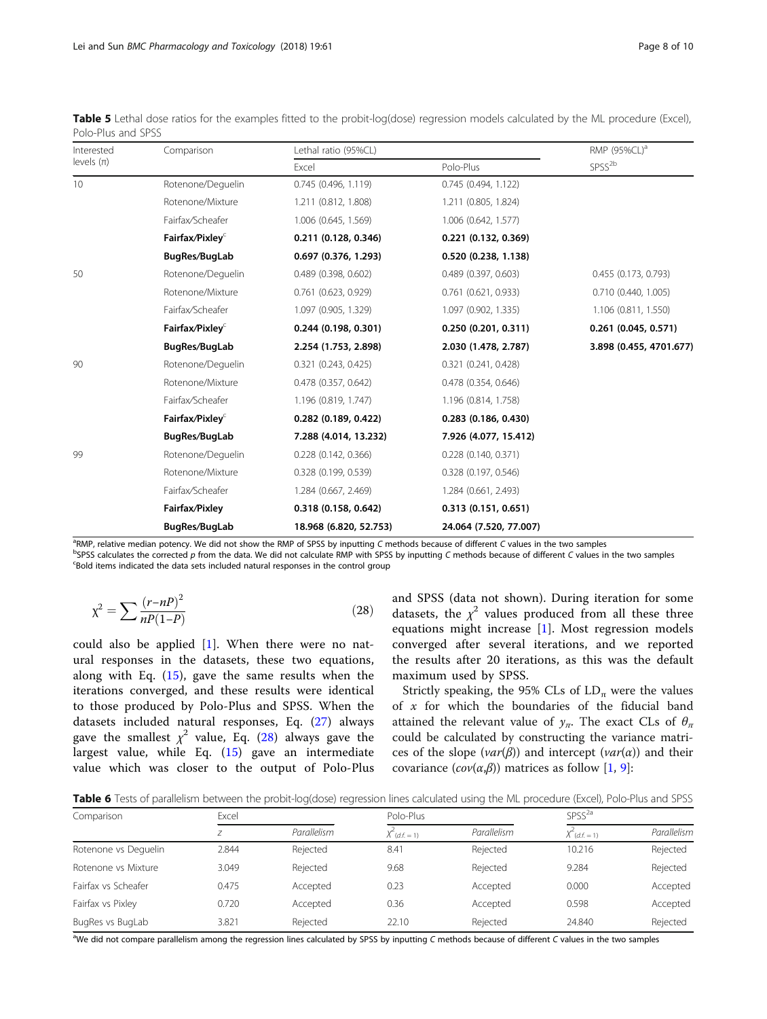| Interested     | Comparison                  | Lethal ratio (95%CL)     | RMP (95%CL) <sup>a</sup> |                         |  |
|----------------|-----------------------------|--------------------------|--------------------------|-------------------------|--|
| levels $(\pi)$ |                             | Excel                    | Polo-Plus                | SPSS <sup>2b</sup>      |  |
| 10             | Rotenone/Dequelin           | 0.745(0.496, 1.119)      | 0.745 (0.494, 1.122)     |                         |  |
|                | Rotenone/Mixture            | 1.211 (0.812, 1.808)     | 1.211 (0.805, 1.824)     |                         |  |
|                | Fairfax/Scheafer            | 1.006 (0.645, 1.569)     | 1.006 (0.642, 1.577)     |                         |  |
|                | Fairfax/Pixley <sup>c</sup> | 0.211(0.128, 0.346)      | $0.221$ (0.132, 0.369)   |                         |  |
|                | BugRes/BugLab               | 0.697(0.376, 1.293)      | 0.520 (0.238, 1.138)     |                         |  |
| 50             | Rotenone/Dequelin           | $0.489$ (0.398, 0.602)   | 0.489(0.397, 0.603)      | 0.455 (0.173, 0.793)    |  |
|                | Rotenone/Mixture            | $0.761$ (0.623, 0.929)   | $0.761$ $(0.621, 0.933)$ | 0.710 (0.440, 1.005)    |  |
|                | Fairfax/Scheafer            | 1.097 (0.905, 1.329)     | 1.097 (0.902, 1.335)     | 1.106 (0.811, 1.550)    |  |
|                | Fairfax/Pixley <sup>c</sup> | 0.244(0.198, 0.301)      | 0.250(0.201, 0.311)      | $0.261$ (0.045, 0.571)  |  |
|                | BugRes/BugLab               | 2.254 (1.753, 2.898)     | 2.030 (1.478, 2.787)     | 3.898 (0.455, 4701.677) |  |
| 90             | Rotenone/Deguelin           | $0.321$ $(0.243, 0.425)$ | $0.321$ $(0.241, 0.428)$ |                         |  |
|                | Rotenone/Mixture            | $0.478$ (0.357, 0.642)   | 0.478 (0.354, 0.646)     |                         |  |
|                | Fairfax/Scheafer            | 1.196 (0.819, 1.747)     | 1.196 (0.814, 1.758)     |                         |  |
|                | Fairfax/Pixley $\epsilon$   | $0.282$ (0.189, 0.422)   | $0.283$ (0.186, 0.430)   |                         |  |
|                | BugRes/BugLab               | 7.288 (4.014, 13.232)    | 7.926 (4.077, 15.412)    |                         |  |
| 99             | Rotenone/Deguelin           | $0.228$ (0.142, 0.366)   | 0.228(0.140, 0.371)      |                         |  |
|                | Rotenone/Mixture            | 0.328(0.199, 0.539)      | 0.328(0.197, 0.546)      |                         |  |
|                | Fairfax/Scheafer            | 1.284 (0.667, 2.469)     | 1.284 (0.661, 2.493)     |                         |  |
|                | Fairfax/Pixley              | 0.318(0.158, 0.642)      | 0.313(0.151, 0.651)      |                         |  |
|                | BugRes/BugLab               | 18.968 (6.820, 52.753)   | 24.064 (7.520, 77.007)   |                         |  |

<span id="page-7-0"></span>Table 5 Lethal dose ratios for the examples fitted to the probit-log(dose) regression models calculated by the ML procedure (Excel), Polo-Plus and SPSS

<sup>a</sup>RMP, relative median potency. We did not show the RMP of SPSS by inputting C methods because of different C values in the two samples because of different C values in the two samples

 $^{b}$ SPSS calculates the corrected p from the data. We did not calculate RMP with SPSS by inputting C methods because of different C values in the two samples Bold items indicated the data sets included natural responses in the control group

$$
\chi^2 = \sum \frac{(r - nP)^2}{nP(1 - P)}\tag{28}
$$

could also be applied  $[1]$  $[1]$  $[1]$ . When there were no natural responses in the datasets, these two equations, along with Eq.  $(15)$  $(15)$ , gave the same results when the iterations converged, and these results were identical to those produced by Polo-Plus and SPSS. When the datasets included natural responses, Eq. [\(27](#page-6-0)) always gave the smallest  $\chi^2$  value, Eq. (28) always gave the largest value, while Eq. ([15](#page-2-0)) gave an intermediate value which was closer to the output of Polo-Plus and SPSS (data not shown). During iteration for some datasets, the  $\chi^2$  values produced from all these three equations might increase [\[1](#page-9-0)]. Most regression models converged after several iterations, and we reported the results after 20 iterations, as this was the default maximum used by SPSS.

Strictly speaking, the 95% CLs of  $LD_{\pi}$  were the values of  $x$  for which the boundaries of the fiducial band attained the relevant value of  $y_{\pi}$ . The exact CLs of  $\theta_{\pi}$ could be calculated by constructing the variance matrices of the slope ( $var(\beta)$ ) and intercept ( $var(\alpha)$ ) and their covariance  $(cov(\alpha,\beta))$  matrices as follow [[1,](#page-9-0) [9\]](#page-9-0):

Table 6 Tests of parallelism between the probit-log(dose) regression lines calculated using the ML procedure (Excel), Polo-Plus and SPSS

| Comparison           | Excel |             | Polo-Plus       |             | SPSS <sup>2a</sup> |             |
|----------------------|-------|-------------|-----------------|-------------|--------------------|-------------|
|                      |       | Parallelism | $X$ (d, f, = 1) | Parallelism | $X(d.f. = 1)$      | Parallelism |
| Rotenone vs Dequelin | 2.844 | Rejected    | 8.41            | Rejected    | 10.216             | Rejected    |
| Rotenone vs Mixture  | 3.049 | Rejected    | 9.68            | Rejected    | 9.284              | Rejected    |
| Fairfax vs Scheafer  | 0.475 | Accepted    | 0.23            | Accepted    | 0.000              | Accepted    |
| Fairfax vs Pixley    | 0.720 | Accepted    | 0.36            | Accepted    | 0.598              | Accepted    |
| BugRes vs BugLab     | 3.821 | Rejected    | 22.10           | Rejected    | 24.840             | Rejected    |

aWe did not compare parallelism among the regression lines calculated by SPSS by inputting C methods because of different C values in the two samples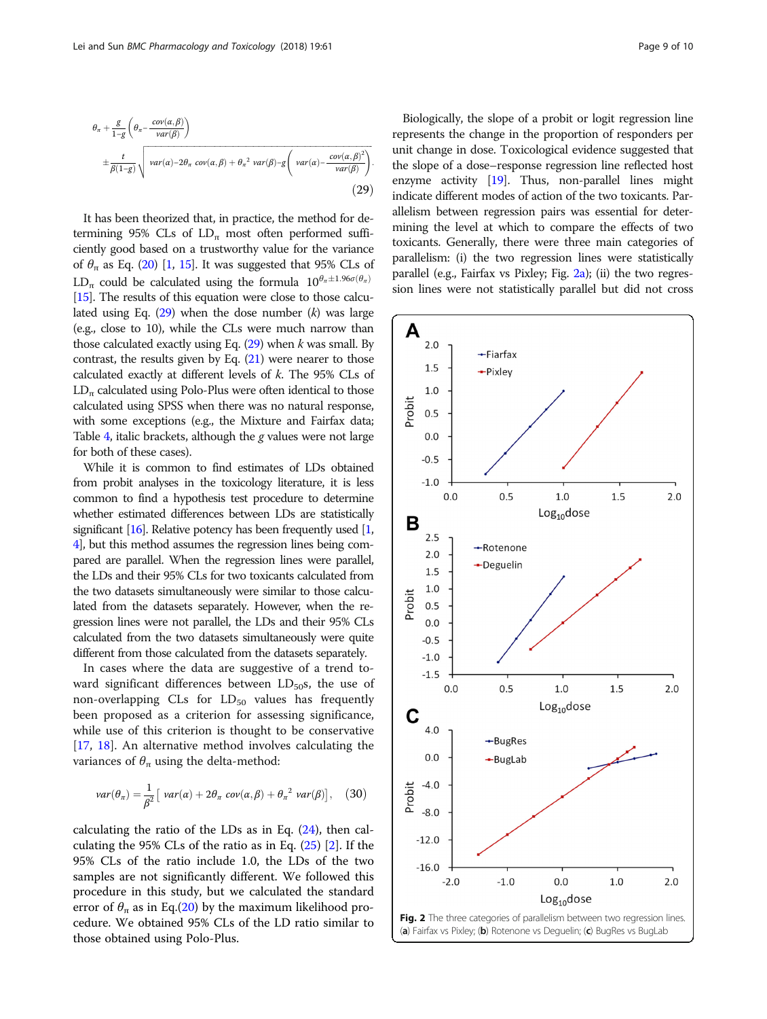<span id="page-8-0"></span>
$$
\theta_{\pi} + \frac{g}{1-g} \left( \theta_{\pi} - \frac{cov(\alpha, \beta)}{var(\beta)} \right)
$$
  
 
$$
\pm \frac{t}{\beta(1-g)} \sqrt{var(\alpha) - 2\theta_{\pi} cov(\alpha, \beta) + \theta_{\pi}^2 var(\beta) - g \left( var(\alpha) - \frac{cov(\alpha, \beta)^2}{var(\beta)} \right)}.
$$
  
(29)

It has been theorized that, in practice, the method for determining 95% CLs of  $LD_{\pi}$  most often performed sufficiently good based on a trustworthy value for the variance of  $\theta_{\pi}$  as Eq. [\(20\)](#page-2-0) [\[1,](#page-9-0) [15\]](#page-9-0). It was suggested that 95% CLs of LD<sub>π</sub> could be calculated using the formula  $10^{\theta_{\pi}\pm 1.96\sigma(\theta_{\pi})}$ [[15](#page-9-0)]. The results of this equation were close to those calculated using Eq.  $(29)$  when the dose number  $(k)$  was large (e.g., close to 10), while the CLs were much narrow than those calculated exactly using Eq.  $(29)$  when k was small. By contrast, the results given by Eq.  $(21)$  $(21)$  $(21)$  were nearer to those calculated exactly at different levels of k. The 95% CLs of  $LD_{\pi}$  calculated using Polo-Plus were often identical to those calculated using SPSS when there was no natural response, with some exceptions (e.g., the Mixture and Fairfax data; Table  $4$ , italic brackets, although the g values were not large for both of these cases).

While it is common to find estimates of LDs obtained from probit analyses in the toxicology literature, it is less common to find a hypothesis test procedure to determine whether estimated differences between LDs are statistically significant [\[16](#page-9-0)]. Relative potency has been frequently used [\[1](#page-9-0), [4](#page-9-0)], but this method assumes the regression lines being compared are parallel. When the regression lines were parallel, the LDs and their 95% CLs for two toxicants calculated from the two datasets simultaneously were similar to those calculated from the datasets separately. However, when the regression lines were not parallel, the LDs and their 95% CLs calculated from the two datasets simultaneously were quite different from those calculated from the datasets separately.

In cases where the data are suggestive of a trend toward significant differences between  $LD_{50}$ s, the use of non-overlapping  $CLs$  for  $LD<sub>50</sub>$  values has frequently been proposed as a criterion for assessing significance, while use of this criterion is thought to be conservative [[17,](#page-9-0) [18\]](#page-9-0). An alternative method involves calculating the variances of  $\theta_{\pi}$  using the delta-method:

$$
var(\theta_{\pi}) = \frac{1}{\beta^2} \left[ var(\alpha) + 2\theta_{\pi} cov(\alpha, \beta) + \theta_{\pi}^2 var(\beta) \right], \quad (30)
$$

calculating the ratio of the LDs as in Eq.  $(24)$  $(24)$ , then calculating the 95% CLs of the ratio as in Eq.  $(25)$  $(25)$  [\[2](#page-9-0)]. If the 95% CLs of the ratio include 1.0, the LDs of the two samples are not significantly different. We followed this procedure in this study, but we calculated the standard error of  $\theta_{\pi}$  as in Eq.[\(20\)](#page-2-0) by the maximum likelihood procedure. We obtained 95% CLs of the LD ratio similar to those obtained using Polo-Plus.

Biologically, the slope of a probit or logit regression line represents the change in the proportion of responders per unit change in dose. Toxicological evidence suggested that the slope of a dose–response regression line reflected host enzyme activity [\[19](#page-9-0)]. Thus, non-parallel lines might indicate different modes of action of the two toxicants. Parallelism between regression pairs was essential for determining the level at which to compare the effects of two toxicants. Generally, there were three main categories of parallelism: (i) the two regression lines were statistically parallel (e.g., Fairfax vs Pixley; Fig. 2a); (ii) the two regression lines were not statistically parallel but did not cross